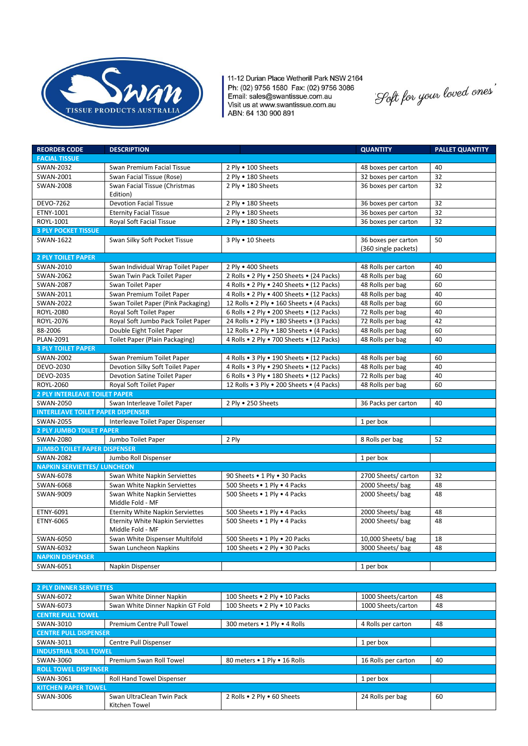

11-12 Durian Place Wetherill Park NSW 2164 Ph: (02) 9756 1580 Fax: (02) 9756 3086<br>Email: sales@swantissue.com.au<br>Visit us at www.swantissue.com.au ABN: 64 130 900 891

.<br>'Loft for your loved ones'

| <b>REORDER CODE</b>                      | <b>DESCRIPTION</b>                                          |                                           | <b>QUANTITY</b>                             | <b>PALLET QUANTITY</b> |  |  |
|------------------------------------------|-------------------------------------------------------------|-------------------------------------------|---------------------------------------------|------------------------|--|--|
| <b>FACIAL TISSUE</b>                     |                                                             |                                           |                                             |                        |  |  |
| <b>SWAN-2032</b>                         | Swan Premium Facial Tissue                                  | 2 Ply . 100 Sheets                        | 48 boxes per carton                         | 40                     |  |  |
| SWAN-2001                                | Swan Facial Tissue (Rose)                                   | 2 Ply . 180 Sheets                        | 32 boxes per carton                         | 32                     |  |  |
| <b>SWAN-2008</b>                         | Swan Facial Tissue (Christmas<br>Edition)                   | 2 Ply . 180 Sheets                        | 36 boxes per carton                         | 32                     |  |  |
| DEVO-7262                                | <b>Devotion Facial Tissue</b>                               | 2 Ply . 180 Sheets                        | 36 boxes per carton                         | 32                     |  |  |
| ETNY-1001                                | <b>Eternity Facial Tissue</b>                               | 2 Ply . 180 Sheets                        | 36 boxes per carton                         | 32                     |  |  |
| ROYL-1001                                | Royal Soft Facial Tissue                                    | 2 Ply . 180 Sheets                        | 36 boxes per carton                         | 32                     |  |  |
| <b>3 PLY POCKET TISSUE</b>               |                                                             |                                           |                                             |                        |  |  |
| SWAN-1622                                | Swan Silky Soft Pocket Tissue                               | 3 Ply . 10 Sheets                         | 36 boxes per carton<br>(360 single packets) | 50                     |  |  |
| <b>2 PLY TOILET PAPER</b>                |                                                             |                                           |                                             |                        |  |  |
| SWAN-2010                                | Swan Individual Wrap Toilet Paper                           | 2 Ply • 400 Sheets                        | 48 Rolls per carton                         | 40                     |  |  |
| SWAN-2062                                | Swan Twin Pack Toilet Paper                                 | 2 Rolls . 2 Ply . 250 Sheets . (24 Packs) | 48 Rolls per bag                            | 60                     |  |  |
| <b>SWAN-2087</b>                         | Swan Toilet Paper                                           | 4 Rolls . 2 Ply . 240 Sheets . (12 Packs) | 48 Rolls per bag                            | 60                     |  |  |
| SWAN-2011                                | Swan Premium Toilet Paper                                   | 4 Rolls . 2 Ply . 400 Sheets . (12 Packs) | 48 Rolls per bag                            | 40                     |  |  |
| <b>SWAN-2022</b>                         | Swan Toilet Paper (Pink Packaging)                          | 12 Rolls . 2 Ply . 160 Sheets . (4 Packs) | 48 Rolls per bag                            | 60                     |  |  |
| ROYL-2080                                | Royal Soft Toilet Paper                                     | 6 Rolls . 2 Ply . 200 Sheets . (12 Packs) | 72 Rolls per bag                            | 40                     |  |  |
| ROYL-2076                                | Royal Soft Jumbo Pack Toilet Paper                          | 24 Rolls . 2 Ply . 180 Sheets . (3 Packs) | 72 Rolls per bag                            | 42                     |  |  |
| 88-2006                                  | Double Eight Toilet Paper                                   | 12 Rolls . 2 Ply . 180 Sheets . (4 Packs) | 48 Rolls per bag                            | 60                     |  |  |
| PLAN-2091                                | <b>Toilet Paper (Plain Packaging)</b>                       | 4 Rolls . 2 Ply . 700 Sheets . (12 Packs) | 48 Rolls per bag                            | 40                     |  |  |
| <b>3 PLY TOILET PAPER</b>                |                                                             |                                           |                                             |                        |  |  |
| SWAN-2002                                | Swan Premium Toilet Paper                                   | 4 Rolls . 3 Ply . 190 Sheets . (12 Packs) | 48 Rolls per bag                            | 60                     |  |  |
| DEVO-2030                                | Devotion Silky Soft Toilet Paper                            | 4 Rolls . 3 Ply . 290 Sheets . (12 Packs) | 48 Rolls per bag                            | 40                     |  |  |
| DEVO-2035                                | Devotion Satine Toilet Paper                                | 6 Rolls . 3 Ply . 180 Sheets . (12 Packs) | 72 Rolls per bag                            | 40                     |  |  |
| ROYL-2060                                | Royal Soft Toilet Paper                                     | 12 Rolls . 3 Ply . 200 Sheets . (4 Packs) | 48 Rolls per bag                            | 60                     |  |  |
| <b>2 PLY INTERLEAVE TOILET PAPER</b>     |                                                             |                                           |                                             |                        |  |  |
| SWAN-2050                                | Swan Interleave Toilet Paper                                | 2 Ply . 250 Sheets                        | 36 Packs per carton                         | 40                     |  |  |
| <b>INTERLEAVE TOILET PAPER DISPENSER</b> |                                                             |                                           |                                             |                        |  |  |
| <b>SWAN-2055</b>                         | Interleave Toilet Paper Dispenser                           |                                           | $\overline{1}$ per box                      |                        |  |  |
| 2 PLY JUMBO TOILET PAPER                 |                                                             |                                           |                                             |                        |  |  |
| SWAN-2080                                | Jumbo Toilet Paper                                          | 2 Ply                                     | 8 Rolls per bag                             | 52                     |  |  |
| <b>JUMBO TOILET PAPER DISPENSER</b>      |                                                             |                                           |                                             |                        |  |  |
| <b>SWAN-2082</b>                         | Jumbo Roll Dispenser                                        |                                           | 1 per box                                   |                        |  |  |
| <b>NAPKIN SERVIETTES/ LUNCHEON</b>       |                                                             |                                           |                                             |                        |  |  |
| SWAN-6078                                | Swan White Napkin Serviettes                                | 90 Sheets . 1 Ply . 30 Packs              | 2700 Sheets/ carton                         | 32                     |  |  |
| SWAN-6068                                | Swan White Napkin Serviettes                                | 500 Sheets . 1 Ply . 4 Packs              | 2000 Sheets/bag                             | 48                     |  |  |
| SWAN-9009                                | Swan White Napkin Serviettes<br>Middle Fold - MF            | 500 Sheets . 1 Ply . 4 Packs              | 2000 Sheets/bag                             | 48                     |  |  |
| ETNY-6091                                | <b>Eternity White Napkin Serviettes</b>                     | 500 Sheets . 1 Ply . 4 Packs              | 2000 Sheets/bag                             | 48                     |  |  |
| ETNY-6065                                | <b>Eternity White Napkin Serviettes</b><br>Middle Fold - MF | 500 Sheets . 1 Ply . 4 Packs              | 2000 Sheets/bag                             | 48                     |  |  |
| SWAN-6050                                | Swan White Dispenser Multifold                              | 500 Sheets . 1 Ply . 20 Packs             | 10,000 Sheets/bag                           | 18                     |  |  |
| SWAN-6032                                | Swan Luncheon Napkins                                       | 100 Sheets . 2 Ply . 30 Packs             | 3000 Sheets/bag                             | 48                     |  |  |
| <b>NAPKIN DISPENSER</b>                  |                                                             |                                           |                                             |                        |  |  |
| SWAN-6051                                | Napkin Dispenser                                            |                                           | 1 per box                                   |                        |  |  |

| <b>2 PLY DINNER SERVIETTES</b> |                                            |                               |                     |    |  |  |  |  |
|--------------------------------|--------------------------------------------|-------------------------------|---------------------|----|--|--|--|--|
| SWAN-6072                      | Swan White Dinner Napkin                   | 100 Sheets . 2 Plv . 10 Packs | 1000 Sheets/carton  | 48 |  |  |  |  |
| SWAN-6073                      | Swan White Dinner Napkin GT Fold           | 100 Sheets . 2 Ply . 10 Packs | 1000 Sheets/carton  | 48 |  |  |  |  |
| <b>CENTRE PULL TOWEL</b>       |                                            |                               |                     |    |  |  |  |  |
| SWAN-3010                      | <b>Premium Centre Pull Towel</b>           | 300 meters • 1 Ply • 4 Rolls  | 4 Rolls per carton  | 48 |  |  |  |  |
| <b>CENTRE PULL DISPENSER</b>   |                                            |                               |                     |    |  |  |  |  |
| SWAN-3011                      | Centre Pull Dispenser                      |                               | 1 per box           |    |  |  |  |  |
| <b>INDUSTRIAL ROLL TOWEL</b>   |                                            |                               |                     |    |  |  |  |  |
| SWAN-3060                      | Premium Swan Roll Towel                    | 80 meters . 1 Ply . 16 Rolls  | 16 Rolls per carton | 40 |  |  |  |  |
| <b>ROLL TOWEL DISPENSER</b>    |                                            |                               |                     |    |  |  |  |  |
| SWAN-3061                      | <b>Roll Hand Towel Dispenser</b>           |                               | 1 per box           |    |  |  |  |  |
| <b>KITCHEN PAPER TOWEL</b>     |                                            |                               |                     |    |  |  |  |  |
| SWAN-3006                      | Swan UltraClean Twin Pack<br>Kitchen Towel | 2 Rolls . 2 Ply . 60 Sheets   | 24 Rolls per bag    | 60 |  |  |  |  |